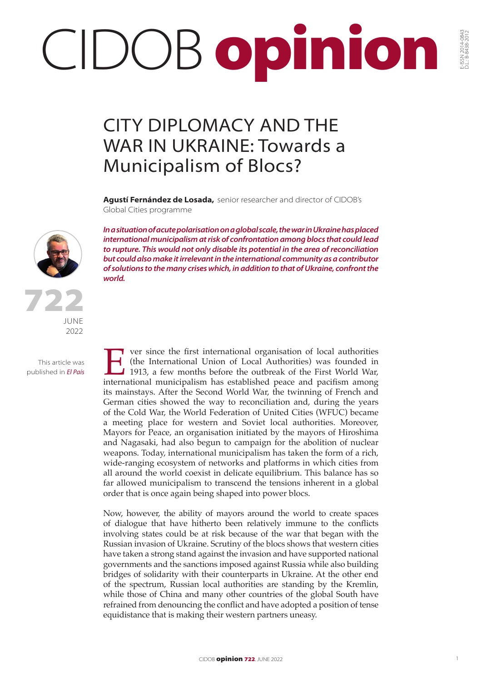## CIDOB opinion

## CITY DIPLOMACY AND THE WAR IN UKRAINE: Towards a Municipalism of Blocs?

**Agustí Fernández de Losada,** senior researcher and director of CIDOB's Global Cities programme



722

This article was published in *[El País](https://elpais.com/planeta-futuro/seres-urbanos/2022-04-26/la-diplomacia-de-las-ciudades-ante-la-guerra-en-ucrania.html)*

JUNE 2022 *In a situation of acute polarisation on a global scale, the war in Ukraine has placed international municipalism at risk of confrontation among blocs that could lead to rupture. This would not only disable its potential in the area of reconciliation but could also make it irrelevant in the international community as a contributor of solutions to the many crises which, in addition to that of Ukraine, confront the world.*

IV ver since the first international organisation of local authorities (the International Union of Local Authorities) was founded in 1913, a few months before the outbreak of the First World War, international municipalism (the International Union of Local Authorities) was founded in 1913, a few months before the outbreak of the First World War, its mainstays. After the Second World War, the twinning of French and German cities showed the way to reconciliation and, during the years of the Cold War, the World Federation of United Cities (WFUC) became a meeting place for western and Soviet local authorities. Moreover, Mayors for Peace, an organisation initiated by the mayors of Hiroshima and Nagasaki, had also begun to campaign for the abolition of nuclear weapons. Today, international municipalism has taken the form of a rich, wide-ranging ecosystem of networks and platforms in which cities from all around the world coexist in delicate equilibrium. This balance has so far allowed municipalism to transcend the tensions inherent in a global order that is once again being shaped into power blocs.

Now, however, the ability of mayors around the world to create spaces of dialogue that have hitherto been relatively immune to the conflicts involving states could be at risk because of the war that began with the Russian invasion of Ukraine. Scrutiny of the blocs shows that western cities have taken a strong stand against the invasion and have supported national governments and the sanctions imposed against Russia while also building bridges of solidarity with their counterparts in Ukraine. At the other end of the spectrum, Russian local authorities are standing by the Kremlin, while those of China and many other countries of the global South have refrained from denouncing the conflict and have adopted a position of tense equidistance that is making their western partners uneasy.

E-ISSN 2014-0843 D.L.: B-8438-2012

SSN 2014-0843<br>-- B-8438-2012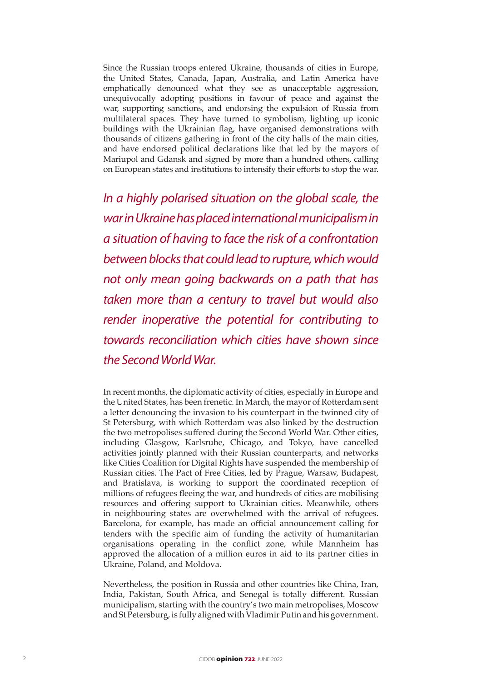Since the Russian troops entered Ukraine, thousands of cities in Europe, the United States, Canada, Japan, Australia, and Latin America have emphatically denounced what they see as unacceptable aggression, unequivocally adopting positions in favour of peace and against the war, supporting sanctions, and endorsing the expulsion of Russia from multilateral spaces. They have turned to symbolism, lighting up iconic buildings with the Ukrainian flag, have organised demonstrations with thousands of citizens gathering in front of the city halls of the main cities, and have endorsed political declarations like that led by the mayors of Mariupol and Gdansk and signed by more than a hundred others, calling on European states and institutions to intensify their efforts to stop the war.

*In a highly polarised situation on the global scale, the war in Ukraine has placed international municipalism in a situation of having to face the risk of a confrontation between blocks that could lead to rupture, which would not only mean going backwards on a path that has taken more than a century to travel but would also render inoperative the potential for contributing to towards reconciliation which cities have shown since the Second World War.*

In recent months, the diplomatic activity of cities, especially in Europe and the United States, has been frenetic. In March, the mayor of Rotterdam sent a letter denouncing the invasion to his counterpart in the twinned city of St Petersburg, with which Rotterdam was also linked by the destruction the two metropolises suffered during the Second World War. Other cities, including Glasgow, Karlsruhe, Chicago, and Tokyo, have cancelled activities jointly planned with their Russian counterparts, and networks like Cities Coalition for Digital Rights have suspended the membership of Russian cities. The Pact of Free Cities, led by Prague, Warsaw, Budapest, and Bratislava, is working to support the coordinated reception of millions of refugees fleeing the war, and hundreds of cities are mobilising resources and offering support to Ukrainian cities. Meanwhile, others in neighbouring states are overwhelmed with the arrival of refugees. Barcelona, for example, has made an official announcement calling for tenders with the specific aim of funding the activity of humanitarian organisations operating in the conflict zone, while Mannheim has approved the allocation of a million euros in aid to its partner cities in Ukraine, Poland, and Moldova.

Nevertheless, the position in Russia and other countries like China, Iran, India, Pakistan, South Africa, and Senegal is totally different. Russian municipalism, starting with the country's two main metropolises, Moscow and St Petersburg, is fully aligned with Vladimir Putin and his government.